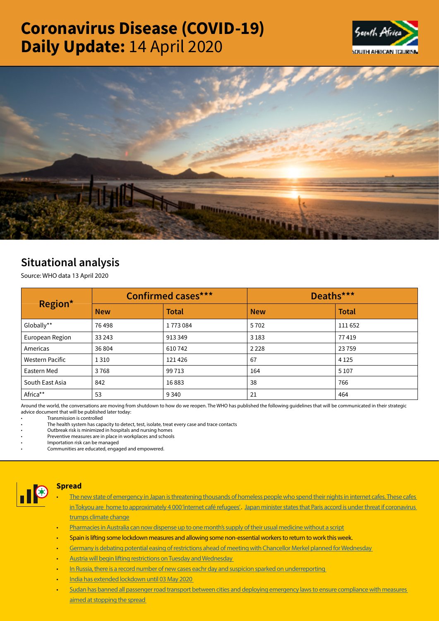# Coronavirus Disease (COVID-19) Daily Update: 14 April 2020





# Situational analysis

Source: WHO data 13 April 2020

| Region*                | <b>Confirmed cases***</b> |              | Deaths***  |              |  |
|------------------------|---------------------------|--------------|------------|--------------|--|
|                        | <b>New</b>                | <b>Total</b> | <b>New</b> | <b>Total</b> |  |
| Globally**             | 76498                     | 1773084      | 5702       | 111 652      |  |
| European Region        | 33 243                    | 913349       | 3 1 8 3    | 77419        |  |
| Americas               | 36 804                    | 610742       | 2 2 2 8    | 23759        |  |
| <b>Western Pacific</b> | 1 3 1 0                   | 121426       | 67         | 4 1 2 5      |  |
| Eastern Med            | 3768                      | 99713        | 164        | 5 1 0 7      |  |
| South East Asia        | 842                       | 16883        | 38         | 766          |  |
| Africa**               | 53                        | 9 3 4 0      | 21         | 464          |  |

Around the world, the conversations are moving from shutdown to how do we reopen. The WHO has published the following guidelines that will be communicated in their strategic advice document that will be published later today:

• Transmission is controlled

• The health system has capacity to detect, test, isolate, treat every case and trace contacts

• Outbreak risk is minimized in hospitals and nursing homes

Preventive measures are in place in workplaces and schools

• Importation risk can be managed

• Communities are educated, engaged and empowered.



#### Spread

- The new state of emergency in Japan is threatening thousands of homeless people who spend their nights in internet cafes. These cafes in Tokyou are home to approximately 4 000 'internet café refugees'. Japan minister states that Paris accord is under threat if coronavirus [trumps climate change](https://t.co/vgX7HE00ym?amp=1)
- [Pharmacies in Australia can now dispense up to one month's supply of their usual medicine without a script](https://t.co/lUh7XZ84fB?amp=1)
- Spain is lifting some lockdown measures and allowing some non-essential workers to return to work this week.
- [Germany is debating potential easing of restrictions ahead of meeting with Chancellor Merkel planned for Wednesday](https://t.co/R135gZSwqc?amp=1)
- [Austria will begin lifting restrictions on Tuesday and Wednesday](https://t.co/R135gZSwqc?amp=1)
- In Russia, there is a record number of new cases eachr day and suspicion sparked on underreporting
- [India has extended lockdown until 03 May 2020](https://wap.business-standard.com/article-amp/current-affairs/coronavirus-live-updates-india-lockdown-extension-state-wise-covid-19-cases-death-toll-country-wise-latest-news-120041400112_1.html)
- [Sudan has banned all passenger road transport between cities and deploying emergency laws to ensure compliance with measures](https://t.co/5inBZNNraU?amp=1)  [aimed at stopping the spread](https://t.co/5inBZNNraU?amp=1)